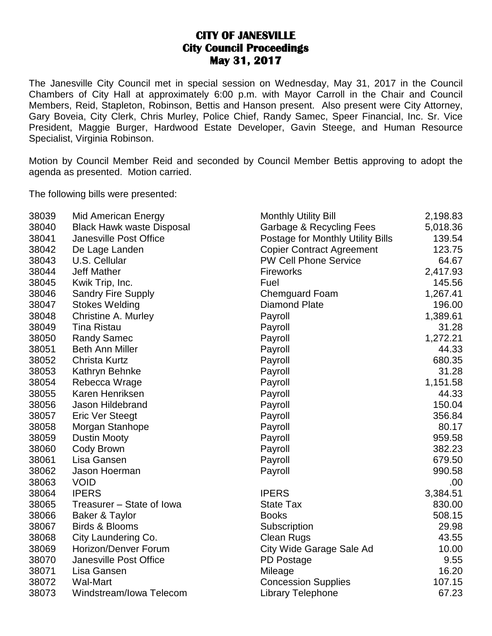## **CITY OF JANESVILLE City Council Proceedings May 31, 2017**

The Janesville City Council met in special session on Wednesday, May 31, 2017 in the Council Chambers of City Hall at approximately 6:00 p.m. with Mayor Carroll in the Chair and Council Members, Reid, Stapleton, Robinson, Bettis and Hanson present. Also present were City Attorney, Gary Boveia, City Clerk, Chris Murley, Police Chief, Randy Samec, Speer Financial, Inc. Sr. Vice President, Maggie Burger, Hardwood Estate Developer, Gavin Steege, and Human Resource Specialist, Virginia Robinson.

Motion by Council Member Reid and seconded by Council Member Bettis approving to adopt the agenda as presented. Motion carried.

The following bills were presented:

| 38039 | <b>Mid American Energy</b>       | <b>Monthly Utility Bill</b>         | 2,198.83 |
|-------|----------------------------------|-------------------------------------|----------|
| 38040 | <b>Black Hawk waste Disposal</b> | <b>Garbage &amp; Recycling Fees</b> | 5,018.36 |
| 38041 | Janesville Post Office           | Postage for Monthly Utility Bills   | 139.54   |
| 38042 | De Lage Landen                   | <b>Copier Contract Agreement</b>    | 123.75   |
| 38043 | U.S. Cellular                    | <b>PW Cell Phone Service</b>        | 64.67    |
| 38044 | <b>Jeff Mather</b>               | <b>Fireworks</b>                    | 2,417.93 |
| 38045 | Kwik Trip, Inc.                  | Fuel                                | 145.56   |
| 38046 | <b>Sandry Fire Supply</b>        | <b>Chemguard Foam</b>               | 1,267.41 |
| 38047 | <b>Stokes Welding</b>            | <b>Diamond Plate</b>                | 196.00   |
| 38048 | Christine A. Murley              | Payroll                             | 1,389.61 |
| 38049 | <b>Tina Ristau</b>               | Payroll                             | 31.28    |
| 38050 | <b>Randy Samec</b>               | Payroll                             | 1,272.21 |
| 38051 | <b>Beth Ann Miller</b>           | Payroll                             | 44.33    |
| 38052 | <b>Christa Kurtz</b>             | Payroll                             | 680.35   |
| 38053 | Kathryn Behnke                   | Payroll                             | 31.28    |
| 38054 | Rebecca Wrage                    | Payroll                             | 1,151.58 |
| 38055 | Karen Henriksen                  | Payroll                             | 44.33    |
| 38056 | Jason Hildebrand                 | Payroll                             | 150.04   |
| 38057 | <b>Eric Ver Steegt</b>           | Payroll                             | 356.84   |
| 38058 | Morgan Stanhope                  | Payroll                             | 80.17    |
| 38059 | <b>Dustin Mooty</b>              | Payroll                             | 959.58   |
| 38060 | Cody Brown                       | Payroll                             | 382.23   |
| 38061 | Lisa Gansen                      | Payroll                             | 679.50   |
| 38062 | Jason Hoerman                    | Payroll                             | 990.58   |
| 38063 | <b>VOID</b>                      |                                     | .00      |
| 38064 | <b>IPERS</b>                     | <b>IPERS</b>                        | 3,384.51 |
| 38065 | Treasurer - State of Iowa        | <b>State Tax</b>                    | 830.00   |
| 38066 | Baker & Taylor                   | <b>Books</b>                        | 508.15   |
| 38067 | <b>Birds &amp; Blooms</b>        | Subscription                        | 29.98    |
| 38068 | City Laundering Co.              | Clean Rugs                          | 43.55    |
| 38069 | Horizon/Denver Forum             | City Wide Garage Sale Ad            | 10.00    |
| 38070 | Janesville Post Office           | PD Postage                          | 9.55     |
| 38071 | Lisa Gansen                      | Mileage                             | 16.20    |
| 38072 | <b>Wal-Mart</b>                  | <b>Concession Supplies</b>          | 107.15   |
| 38073 | Windstream/Iowa Telecom          | <b>Library Telephone</b>            | 67.23    |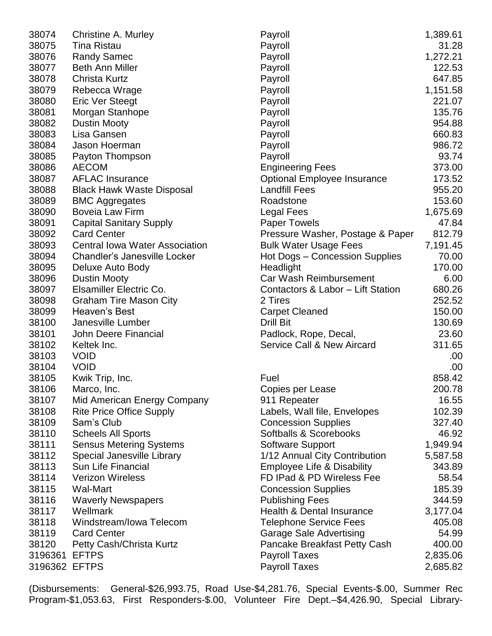| 38074         | Christine A. Murley              | Payroll                               | 1,389.61 |
|---------------|----------------------------------|---------------------------------------|----------|
| 38075         | <b>Tina Ristau</b>               | Payroll                               | 31.28    |
| 38076         | <b>Randy Samec</b>               | Payroll                               | 1,272.21 |
| 38077         | <b>Beth Ann Miller</b>           | Payroll                               | 122.53   |
| 38078         | <b>Christa Kurtz</b>             | Payroll                               | 647.85   |
| 38079         | Rebecca Wrage                    | Payroll                               | 1,151.58 |
| 38080         | <b>Eric Ver Steegt</b>           | Payroll                               | 221.07   |
| 38081         | Morgan Stanhope                  | Payroll                               | 135.76   |
| 38082         | <b>Dustin Mooty</b>              | Payroll                               | 954.88   |
| 38083         | Lisa Gansen                      | Payroll                               | 660.83   |
| 38084         | Jason Hoerman                    | Payroll                               | 986.72   |
| 38085         | Payton Thompson                  | Payroll                               | 93.74    |
| 38086         | <b>AECOM</b>                     | <b>Engineering Fees</b>               | 373.00   |
| 38087         | <b>AFLAC Insurance</b>           | Optional Employee Insurance           | 173.52   |
| 38088         | <b>Black Hawk Waste Disposal</b> | <b>Landfill Fees</b>                  | 955.20   |
| 38089         | <b>BMC Aggregates</b>            | Roadstone                             | 153.60   |
| 38090         | Boveia Law Firm                  | <b>Legal Fees</b>                     | 1,675.69 |
| 38091         | <b>Capital Sanitary Supply</b>   | <b>Paper Towels</b>                   | 47.84    |
| 38092         | <b>Card Center</b>               | Pressure Washer, Postage & Paper      | 812.79   |
| 38093         | Central Iowa Water Association   | <b>Bulk Water Usage Fees</b>          | 7,191.45 |
| 38094         | Chandler's Janesville Locker     | Hot Dogs - Concession Supplies        | 70.00    |
| 38095         | Deluxe Auto Body                 | Headlight                             | 170.00   |
| 38096         | <b>Dustin Mooty</b>              | Car Wash Reimbursement                | 6.00     |
| 38097         | Elsamiller Electric Co.          | Contactors & Labor - Lift Station     | 680.26   |
| 38098         | <b>Graham Tire Mason City</b>    | 2 Tires                               | 252.52   |
| 38099         | Heaven's Best                    | <b>Carpet Cleaned</b>                 | 150.00   |
| 38100         | Janesville Lumber                | <b>Drill Bit</b>                      | 130.69   |
| 38101         | John Deere Financial             | Padlock, Rope, Decal,                 | 23.60    |
| 38102         | Keltek Inc.                      | Service Call & New Aircard            | 311.65   |
| 38103         | <b>VOID</b>                      |                                       | .00      |
| 38104         | <b>VOID</b>                      |                                       | .00      |
| 38105         | Kwik Trip, Inc.                  | Fuel                                  | 858.42   |
| 38106         | Marco, Inc.                      | Copies per Lease                      | 200.78   |
| 38107         | Mid American Energy Company      | 911 Repeater                          | 16.55    |
| 38108         | <b>Rite Price Office Supply</b>  | Labels, Wall file, Envelopes          | 102.39   |
| 38109         | Sam's Club                       | <b>Concession Supplies</b>            | 327.40   |
| 38110         | <b>Scheels All Sports</b>        | Softballs & Scorebooks                | 46.92    |
| 38111         | <b>Sensus Metering Systems</b>   | <b>Software Support</b>               | 1,949.94 |
| 38112         | Special Janesville Library       | 1/12 Annual City Contribution         | 5,587.58 |
| 38113         | Sun Life Financial               | <b>Employee Life &amp; Disability</b> | 343.89   |
| 38114         | <b>Verizon Wireless</b>          | FD IPad & PD Wireless Fee             | 58.54    |
| 38115         | <b>Wal-Mart</b>                  | <b>Concession Supplies</b>            | 185.39   |
| 38116         | <b>Waverly Newspapers</b>        | <b>Publishing Fees</b>                | 344.59   |
| 38117         | Wellmark                         | Health & Dental Insurance             | 3,177.04 |
| 38118         | Windstream/Iowa Telecom          | <b>Telephone Service Fees</b>         | 405.08   |
| 38119         | <b>Card Center</b>               | <b>Garage Sale Advertising</b>        | 54.99    |
| 38120         | Petty Cash/Christa Kurtz         | Pancake Breakfast Petty Cash          | 400.00   |
| 3196361 EFTPS |                                  | <b>Payroll Taxes</b>                  | 2,835.06 |
| 3196362 EFTPS |                                  | <b>Payroll Taxes</b>                  | 2,685.82 |
|               |                                  |                                       |          |

(Disbursements: General-\$26,993.75, Road Use-\$4,281.76, Special Events-\$.00, Summer Rec Program-\$1,053.63, First Responders-\$.00, Volunteer Fire Dept.–\$4,426.90, Special Library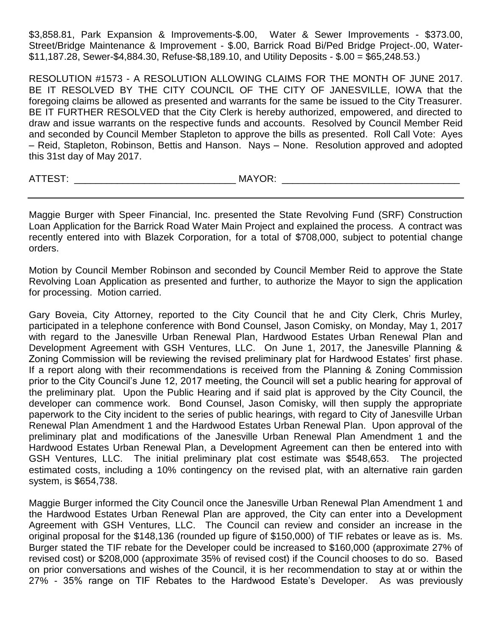\$3,858.81, Park Expansion & Improvements-\$.00, Water & Sewer Improvements - \$373.00, Street/Bridge Maintenance & Improvement - \$.00, Barrick Road Bi/Ped Bridge Project-.00, Water- \$11,187.28, Sewer-\$4,884.30, Refuse-\$8,189.10, and Utility Deposits - \$.00 = \$65,248.53.)

RESOLUTION #1573 - A RESOLUTION ALLOWING CLAIMS FOR THE MONTH OF JUNE 2017. BE IT RESOLVED BY THE CITY COUNCIL OF THE CITY OF JANESVILLE, IOWA that the foregoing claims be allowed as presented and warrants for the same be issued to the City Treasurer. BE IT FURTHER RESOLVED that the City Clerk is hereby authorized, empowered, and directed to draw and issue warrants on the respective funds and accounts. Resolved by Council Member Reid and seconded by Council Member Stapleton to approve the bills as presented. Roll Call Vote: Ayes – Reid, Stapleton, Robinson, Bettis and Hanson. Nays – None. Resolution approved and adopted this 31st day of May 2017.

ATTEST: THE MAYOR: THE MAYOR:

Maggie Burger with Speer Financial, Inc. presented the State Revolving Fund (SRF) Construction Loan Application for the Barrick Road Water Main Project and explained the process. A contract was recently entered into with Blazek Corporation, for a total of \$708,000, subject to potential change orders.

Motion by Council Member Robinson and seconded by Council Member Reid to approve the State Revolving Loan Application as presented and further, to authorize the Mayor to sign the application for processing. Motion carried.

Gary Boveia, City Attorney, reported to the City Council that he and City Clerk, Chris Murley, participated in a telephone conference with Bond Counsel, Jason Comisky, on Monday, May 1, 2017 with regard to the Janesville Urban Renewal Plan, Hardwood Estates Urban Renewal Plan and Development Agreement with GSH Ventures, LLC. On June 1, 2017, the Janesville Planning & Zoning Commission will be reviewing the revised preliminary plat for Hardwood Estates' first phase. If a report along with their recommendations is received from the Planning & Zoning Commission prior to the City Council's June 12, 2017 meeting, the Council will set a public hearing for approval of the preliminary plat. Upon the Public Hearing and if said plat is approved by the City Council, the developer can commence work. Bond Counsel, Jason Comisky, will then supply the appropriate paperwork to the City incident to the series of public hearings, with regard to City of Janesville Urban Renewal Plan Amendment 1 and the Hardwood Estates Urban Renewal Plan. Upon approval of the preliminary plat and modifications of the Janesville Urban Renewal Plan Amendment 1 and the Hardwood Estates Urban Renewal Plan, a Development Agreement can then be entered into with GSH Ventures, LLC. The initial preliminary plat cost estimate was \$548,653. The projected estimated costs, including a 10% contingency on the revised plat, with an alternative rain garden system, is \$654,738.

Maggie Burger informed the City Council once the Janesville Urban Renewal Plan Amendment 1 and the Hardwood Estates Urban Renewal Plan are approved, the City can enter into a Development Agreement with GSH Ventures, LLC. The Council can review and consider an increase in the original proposal for the \$148,136 (rounded up figure of \$150,000) of TIF rebates or leave as is. Ms. Burger stated the TIF rebate for the Developer could be increased to \$160,000 (approximate 27% of revised cost) or \$208,000 (approximate 35% of revised cost) if the Council chooses to do so. Based on prior conversations and wishes of the Council, it is her recommendation to stay at or within the 27% - 35% range on TIF Rebates to the Hardwood Estate's Developer. As was previously